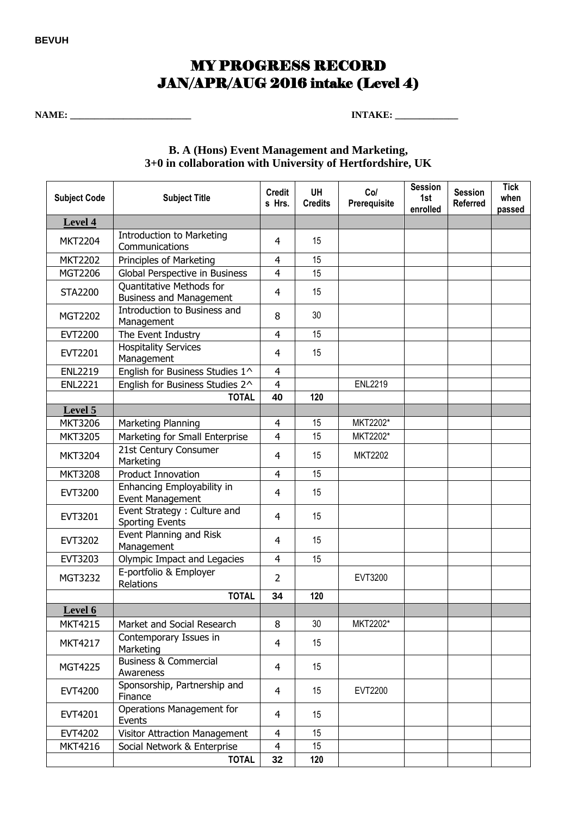## MY PROGRESS RECORD JAN/APR/AUG 2016 intake (Level 4)

**NAME: \_\_\_\_\_\_\_\_\_\_\_\_\_\_\_\_\_\_\_\_\_\_\_\_\_ INTAKE: \_\_\_\_\_\_\_\_\_\_\_\_\_** 

## **B. A (Hons) Event Management and Marketing, 3+0 in collaboration with University of Hertfordshire, UK**

| <b>Subject Code</b> | <b>Subject Title</b>                                       | <b>Credit</b><br>s Hrs. | <b>UH</b><br><b>Credits</b> | Col<br>Prerequisite | <b>Session</b><br>1st<br>enrolled | <b>Session</b><br><b>Referred</b> | <b>Tick</b><br>when<br>passed |
|---------------------|------------------------------------------------------------|-------------------------|-----------------------------|---------------------|-----------------------------------|-----------------------------------|-------------------------------|
| Level 4             |                                                            |                         |                             |                     |                                   |                                   |                               |
| <b>MKT2204</b>      | Introduction to Marketing<br>Communications                | 4                       | 15                          |                     |                                   |                                   |                               |
| <b>MKT2202</b>      | Principles of Marketing                                    | 4                       | 15                          |                     |                                   |                                   |                               |
| MGT2206             | Global Perspective in Business                             | 4                       | 15                          |                     |                                   |                                   |                               |
| <b>STA2200</b>      | Quantitative Methods for<br><b>Business and Management</b> | 4                       | 15                          |                     |                                   |                                   |                               |
| MGT2202             | Introduction to Business and<br>Management                 | 8                       | 30                          |                     |                                   |                                   |                               |
| <b>EVT2200</b>      | The Event Industry                                         | 4                       | 15                          |                     |                                   |                                   |                               |
| EVT2201             | <b>Hospitality Services</b><br>Management                  | $\overline{4}$          | 15                          |                     |                                   |                                   |                               |
| <b>ENL2219</b>      | English for Business Studies 1^                            | $\overline{4}$          |                             |                     |                                   |                                   |                               |
| <b>ENL2221</b>      | English for Business Studies 2^                            | $\overline{4}$          |                             | <b>ENL2219</b>      |                                   |                                   |                               |
|                     | <b>TOTAL</b>                                               | 40                      | 120                         |                     |                                   |                                   |                               |
| Level 5             |                                                            |                         |                             |                     |                                   |                                   |                               |
| <b>MKT3206</b>      | Marketing Planning                                         | 4                       | 15                          | MKT2202*            |                                   |                                   |                               |
| <b>MKT3205</b>      | Marketing for Small Enterprise                             | 4                       | 15                          | MKT2202*            |                                   |                                   |                               |
| <b>MKT3204</b>      | 21st Century Consumer<br>Marketing                         | 4                       | 15                          | <b>MKT2202</b>      |                                   |                                   |                               |
| <b>MKT3208</b>      | <b>Product Innovation</b>                                  | 4                       | 15                          |                     |                                   |                                   |                               |
| <b>EVT3200</b>      | Enhancing Employability in<br>Event Management             | $\overline{4}$          | 15                          |                     |                                   |                                   |                               |
| EVT3201             | Event Strategy : Culture and<br><b>Sporting Events</b>     | $\overline{4}$          | 15                          |                     |                                   |                                   |                               |
| EVT3202             | Event Planning and Risk<br>Management                      | $\overline{4}$          | 15                          |                     |                                   |                                   |                               |
| EVT3203             | Olympic Impact and Legacies                                | $\overline{4}$          | 15                          |                     |                                   |                                   |                               |
| MGT3232             | E-portfolio & Employer<br>Relations                        | 2                       |                             | EVT3200             |                                   |                                   |                               |
|                     | <b>TOTAL</b>                                               | 34                      | 120                         |                     |                                   |                                   |                               |
| Level 6             |                                                            |                         |                             |                     |                                   |                                   |                               |
| <b>MKT4215</b>      | Market and Social Research                                 | 8                       | 30                          | MKT2202*            |                                   |                                   |                               |
| <b>MKT4217</b>      | Contemporary Issues in<br>Marketing                        | $\overline{4}$          | 15                          |                     |                                   |                                   |                               |
| MGT4225             | <b>Business &amp; Commercial</b><br>Awareness              | $\overline{4}$          | 15                          |                     |                                   |                                   |                               |
| EVT4200             | Sponsorship, Partnership and<br>Finance                    | $\overline{4}$          | 15                          | EVT2200             |                                   |                                   |                               |
| EVT4201             | Operations Management for<br>Events                        | $\overline{4}$          | 15                          |                     |                                   |                                   |                               |
| EVT4202             | Visitor Attraction Management                              | 4                       | 15                          |                     |                                   |                                   |                               |
| <b>MKT4216</b>      | Social Network & Enterprise                                | 4                       | 15                          |                     |                                   |                                   |                               |
|                     | <b>TOTAL</b>                                               | 32                      | 120                         |                     |                                   |                                   |                               |